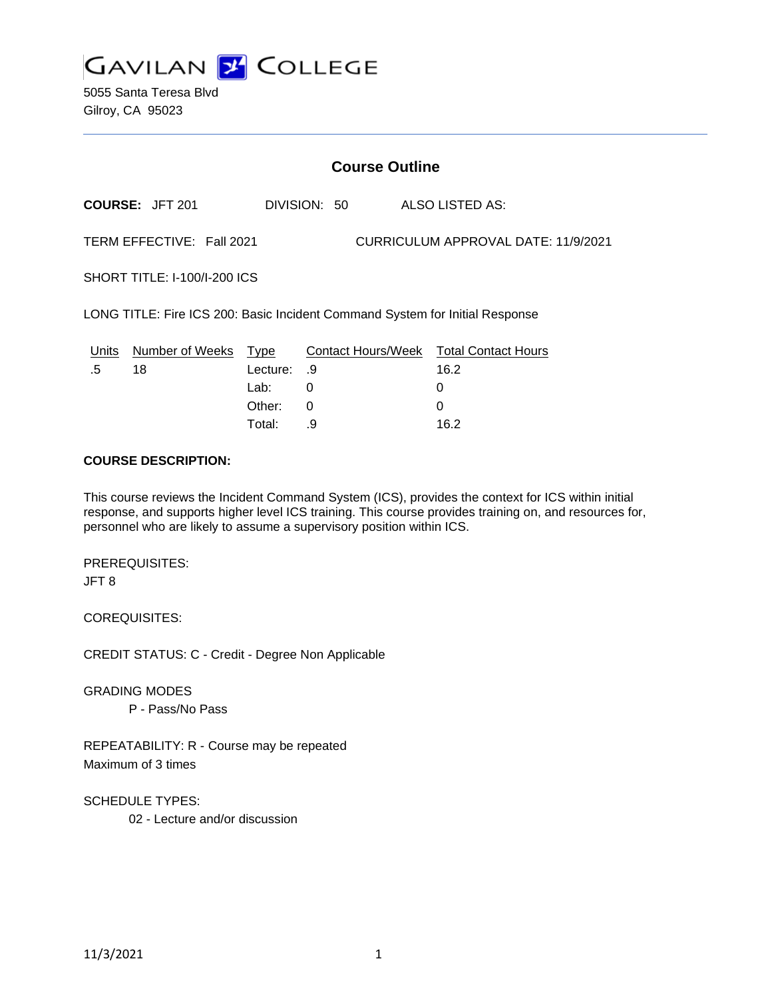

5055 Santa Teresa Blvd Gilroy, CA 95023

# **Course Outline**

**COURSE:** JFT 201 DIVISION: 50 ALSO LISTED AS: TERM EFFECTIVE: Fall 2021 CURRICULUM APPROVAL DATE: 11/9/2021

SHORT TITLE: I-100/I-200 ICS

LONG TITLE: Fire ICS 200: Basic Incident Command System for Initial Response

|    | Units Number of Weeks Type |             | Contact Hours/Week Total Contact Hours |      |
|----|----------------------------|-------------|----------------------------------------|------|
| .5 | 18                         | 9. Lecture: |                                        | 16.2 |
|    |                            | Lab: _      |                                        |      |
|    |                            | Other: 0    |                                        |      |
|    |                            | Total:      |                                        | 16.2 |

### **COURSE DESCRIPTION:**

This course reviews the Incident Command System (ICS), provides the context for ICS within initial response, and supports higher level ICS training. This course provides training on, and resources for, personnel who are likely to assume a supervisory position within ICS.

PREREQUISITES: JFT 8

COREQUISITES:

CREDIT STATUS: C - Credit - Degree Non Applicable

GRADING MODES

P - Pass/No Pass

REPEATABILITY: R - Course may be repeated Maximum of 3 times

SCHEDULE TYPES:

02 - Lecture and/or discussion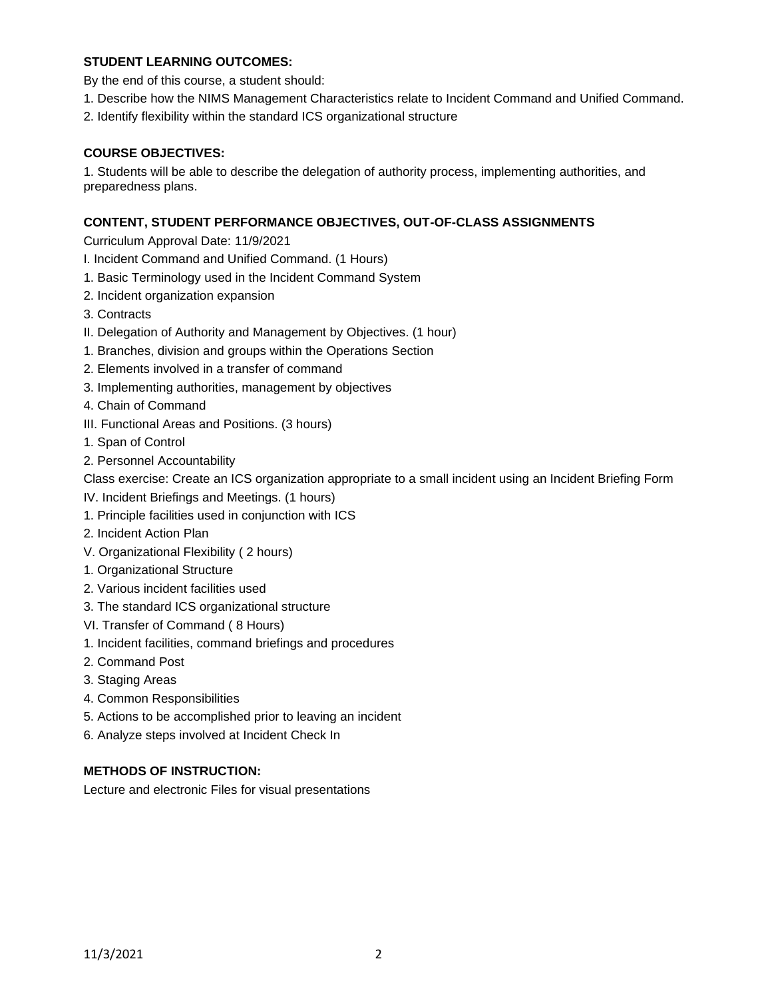# **STUDENT LEARNING OUTCOMES:**

By the end of this course, a student should:

- 1. Describe how the NIMS Management Characteristics relate to Incident Command and Unified Command.
- 2. Identify flexibility within the standard ICS organizational structure

### **COURSE OBJECTIVES:**

1. Students will be able to describe the delegation of authority process, implementing authorities, and preparedness plans.

### **CONTENT, STUDENT PERFORMANCE OBJECTIVES, OUT-OF-CLASS ASSIGNMENTS**

Curriculum Approval Date: 11/9/2021

- I. Incident Command and Unified Command. (1 Hours)
- 1. Basic Terminology used in the Incident Command System
- 2. Incident organization expansion
- 3. Contracts
- II. Delegation of Authority and Management by Objectives. (1 hour)
- 1. Branches, division and groups within the Operations Section
- 2. Elements involved in a transfer of command
- 3. Implementing authorities, management by objectives

4. Chain of Command

- III. Functional Areas and Positions. (3 hours)
- 1. Span of Control
- 2. Personnel Accountability

Class exercise: Create an ICS organization appropriate to a small incident using an Incident Briefing Form

- IV. Incident Briefings and Meetings. (1 hours)
- 1. Principle facilities used in conjunction with ICS
- 2. Incident Action Plan
- V. Organizational Flexibility ( 2 hours)
- 1. Organizational Structure
- 2. Various incident facilities used
- 3. The standard ICS organizational structure
- VI. Transfer of Command ( 8 Hours)
- 1. Incident facilities, command briefings and procedures
- 2. Command Post
- 3. Staging Areas
- 4. Common Responsibilities
- 5. Actions to be accomplished prior to leaving an incident
- 6. Analyze steps involved at Incident Check In

## **METHODS OF INSTRUCTION:**

Lecture and electronic Files for visual presentations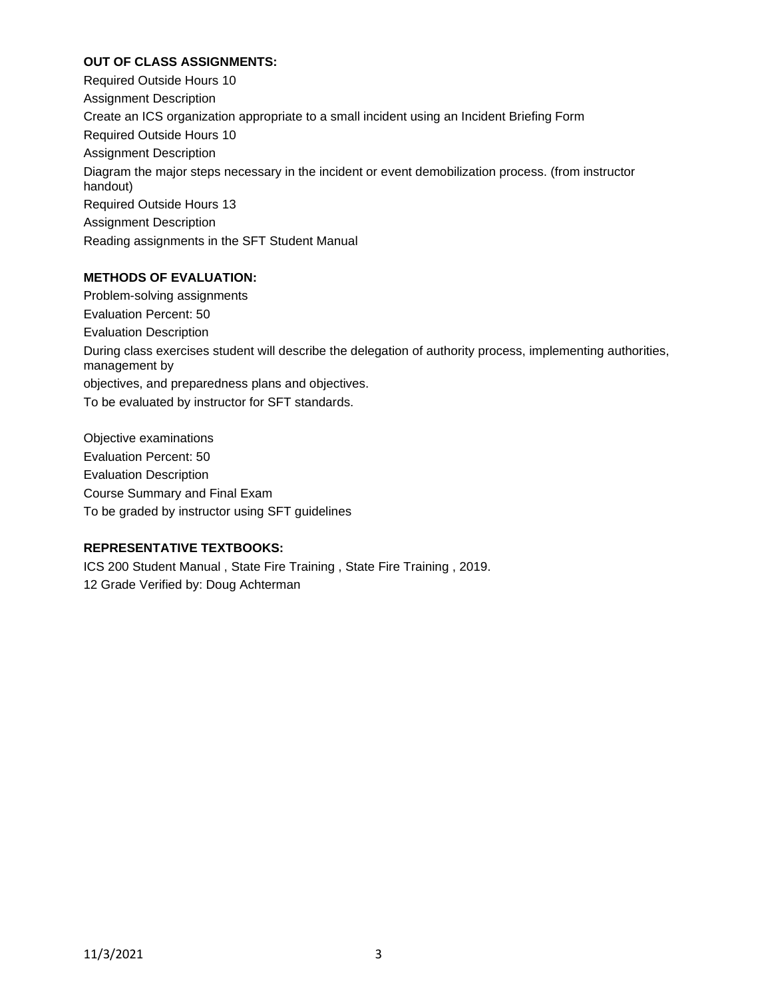# **OUT OF CLASS ASSIGNMENTS:**

Required Outside Hours 10 Assignment Description Create an ICS organization appropriate to a small incident using an Incident Briefing Form Required Outside Hours 10 Assignment Description Diagram the major steps necessary in the incident or event demobilization process. (from instructor handout) Required Outside Hours 13 Assignment Description Reading assignments in the SFT Student Manual

## **METHODS OF EVALUATION:**

Problem-solving assignments Evaluation Percent: 50 Evaluation Description During class exercises student will describe the delegation of authority process, implementing authorities, management by objectives, and preparedness plans and objectives. To be evaluated by instructor for SFT standards.

Objective examinations Evaluation Percent: 50 Evaluation Description Course Summary and Final Exam To be graded by instructor using SFT guidelines

### **REPRESENTATIVE TEXTBOOKS:**

ICS 200 Student Manual , State Fire Training , State Fire Training , 2019. 12 Grade Verified by: Doug Achterman